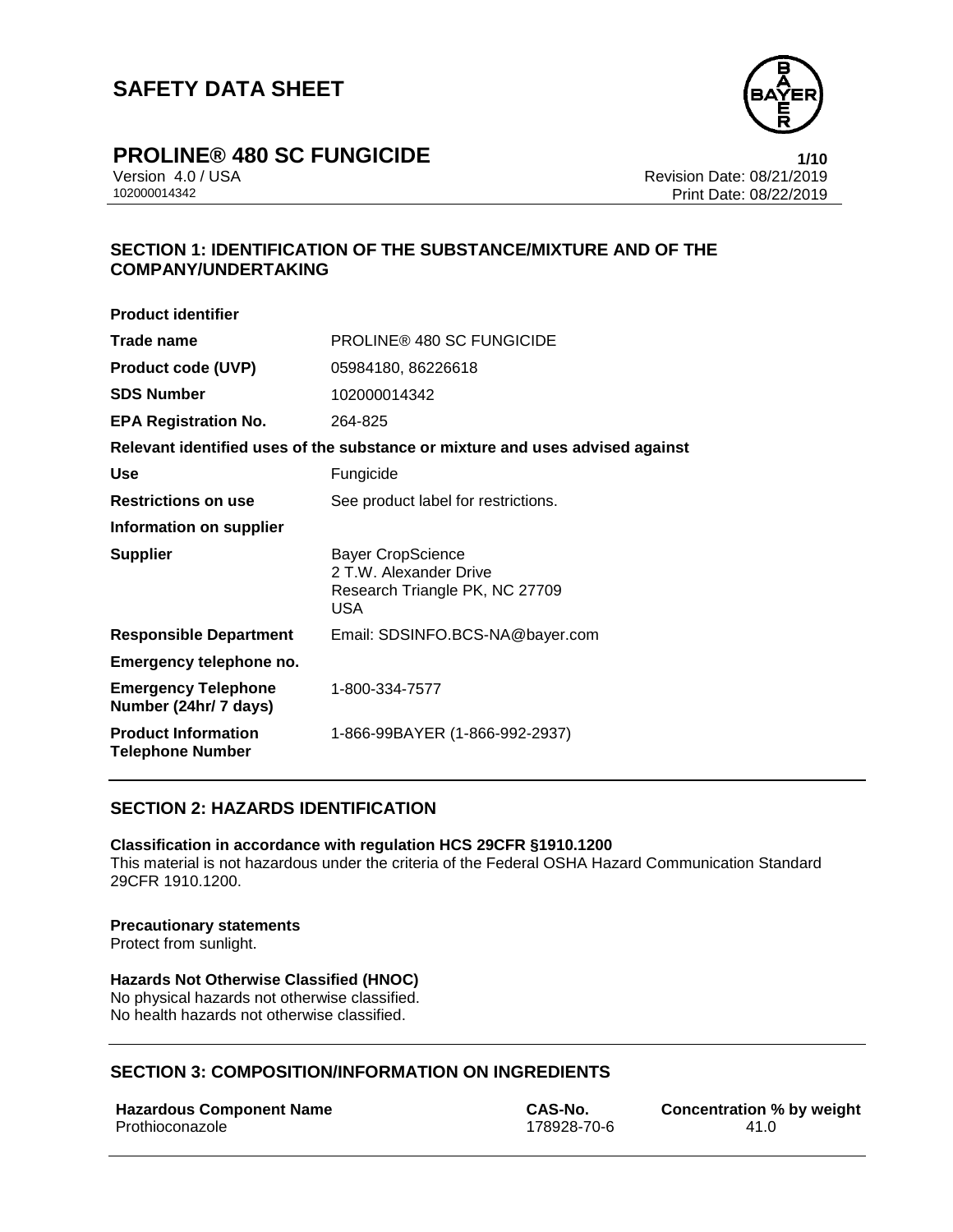

# **PROLINE® 480 SC FUNGICIDE 1/10**

Version 4.0 / USA Revision Date: 08/21/2019 Print Date: 08/22/2019

### **SECTION 1: IDENTIFICATION OF THE SUBSTANCE/MIXTURE AND OF THE COMPANY/UNDERTAKING**

| <b>Product identifier</b>                             |                                                                                              |
|-------------------------------------------------------|----------------------------------------------------------------------------------------------|
| Trade name                                            | <b>PROLINE® 480 SC FUNGICIDE</b>                                                             |
| <b>Product code (UVP)</b>                             | 05984180, 86226618                                                                           |
| <b>SDS Number</b>                                     | 102000014342                                                                                 |
| <b>EPA Registration No.</b>                           | 264-825                                                                                      |
|                                                       | Relevant identified uses of the substance or mixture and uses advised against                |
| Use                                                   | Fungicide                                                                                    |
| <b>Restrictions on use</b>                            | See product label for restrictions.                                                          |
| Information on supplier                               |                                                                                              |
| <b>Supplier</b>                                       | <b>Bayer CropScience</b><br>2 T.W. Alexander Drive<br>Research Triangle PK, NC 27709<br>USA. |
| <b>Responsible Department</b>                         | Email: SDSINFO.BCS-NA@bayer.com                                                              |
| Emergency telephone no.                               |                                                                                              |
| <b>Emergency Telephone</b><br>Number (24hr/ 7 days)   | 1-800-334-7577                                                                               |
| <b>Product Information</b><br><b>Telephone Number</b> | 1-866-99BAYER (1-866-992-2937)                                                               |
|                                                       |                                                                                              |

#### **SECTION 2: HAZARDS IDENTIFICATION**

#### **Classification in accordance with regulation HCS 29CFR §1910.1200**

This material is not hazardous under the criteria of the Federal OSHA Hazard Communication Standard 29CFR 1910.1200.

#### **Precautionary statements**

Protect from sunlight.

### **Hazards Not Otherwise Classified (HNOC)**

No physical hazards not otherwise classified. No health hazards not otherwise classified.

### **SECTION 3: COMPOSITION/INFORMATION ON INGREDIENTS**

#### **Hazardous Component Name CAS-No. Concentration % by weight**

Prothioconazole 178928-70-6 41.0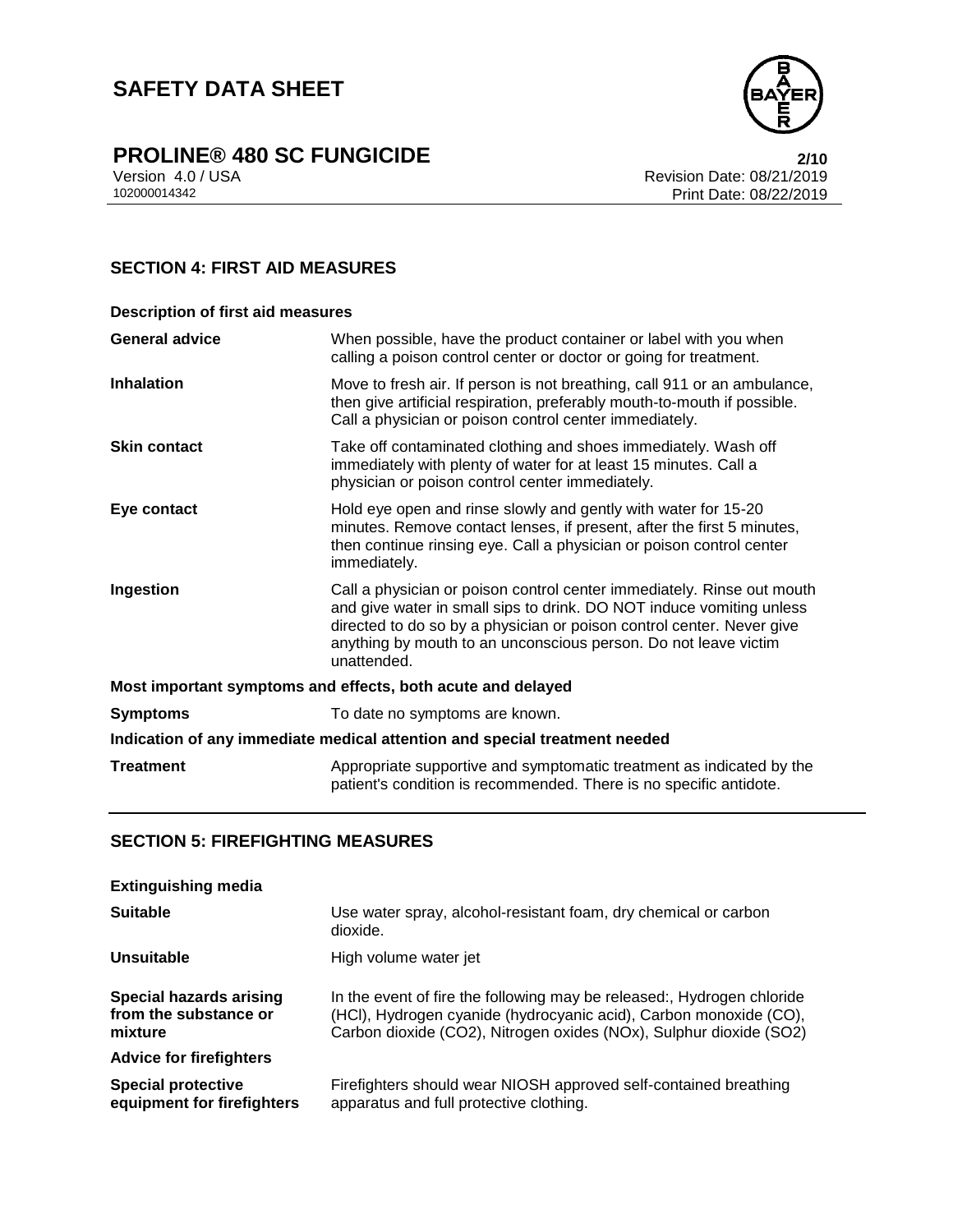

# **PROLINE® 480 SC FUNGICIDE**<br>Version 4.0 / USA **2/10**<br>Revision Date: 08/21/2019

Version 4.0 / USA Revision Date: 08/21/2019 Print Date: 08/22/2019

### **SECTION 4: FIRST AID MEASURES**

| <b>Description of first aid measures</b>                                   |                                                                                                                                                                                                                                                                                                           |  |
|----------------------------------------------------------------------------|-----------------------------------------------------------------------------------------------------------------------------------------------------------------------------------------------------------------------------------------------------------------------------------------------------------|--|
| <b>General advice</b>                                                      | When possible, have the product container or label with you when<br>calling a poison control center or doctor or going for treatment.                                                                                                                                                                     |  |
| <b>Inhalation</b>                                                          | Move to fresh air. If person is not breathing, call 911 or an ambulance,<br>then give artificial respiration, preferably mouth-to-mouth if possible.<br>Call a physician or poison control center immediately.                                                                                            |  |
| <b>Skin contact</b>                                                        | Take off contaminated clothing and shoes immediately. Wash off<br>immediately with plenty of water for at least 15 minutes. Call a<br>physician or poison control center immediately.                                                                                                                     |  |
| Eye contact                                                                | Hold eye open and rinse slowly and gently with water for 15-20<br>minutes. Remove contact lenses, if present, after the first 5 minutes,<br>then continue rinsing eye. Call a physician or poison control center<br>immediately.                                                                          |  |
| Ingestion                                                                  | Call a physician or poison control center immediately. Rinse out mouth<br>and give water in small sips to drink. DO NOT induce vomiting unless<br>directed to do so by a physician or poison control center. Never give<br>anything by mouth to an unconscious person. Do not leave victim<br>unattended. |  |
| Most important symptoms and effects, both acute and delayed                |                                                                                                                                                                                                                                                                                                           |  |
| <b>Symptoms</b>                                                            | To date no symptoms are known.                                                                                                                                                                                                                                                                            |  |
| Indication of any immediate medical attention and special treatment needed |                                                                                                                                                                                                                                                                                                           |  |
| <b>Treatment</b>                                                           | Appropriate supportive and symptomatic treatment as indicated by the<br>patient's condition is recommended. There is no specific antidote.                                                                                                                                                                |  |

### **SECTION 5: FIREFIGHTING MEASURES**

| <b>Extinguishing media</b>                                         |                                                                                                                                                                                                                   |
|--------------------------------------------------------------------|-------------------------------------------------------------------------------------------------------------------------------------------------------------------------------------------------------------------|
| <b>Suitable</b>                                                    | Use water spray, alcohol-resistant foam, dry chemical or carbon<br>dioxide.                                                                                                                                       |
| Unsuitable                                                         | High volume water jet                                                                                                                                                                                             |
| <b>Special hazards arising</b><br>from the substance or<br>mixture | In the event of fire the following may be released:, Hydrogen chloride<br>(HCI), Hydrogen cyanide (hydrocyanic acid), Carbon monoxide (CO),<br>Carbon dioxide (CO2), Nitrogen oxides (NOx), Sulphur dioxide (SO2) |
| <b>Advice for firefighters</b>                                     |                                                                                                                                                                                                                   |
| <b>Special protective</b><br>equipment for firefighters            | Firefighters should wear NIOSH approved self-contained breathing<br>apparatus and full protective clothing.                                                                                                       |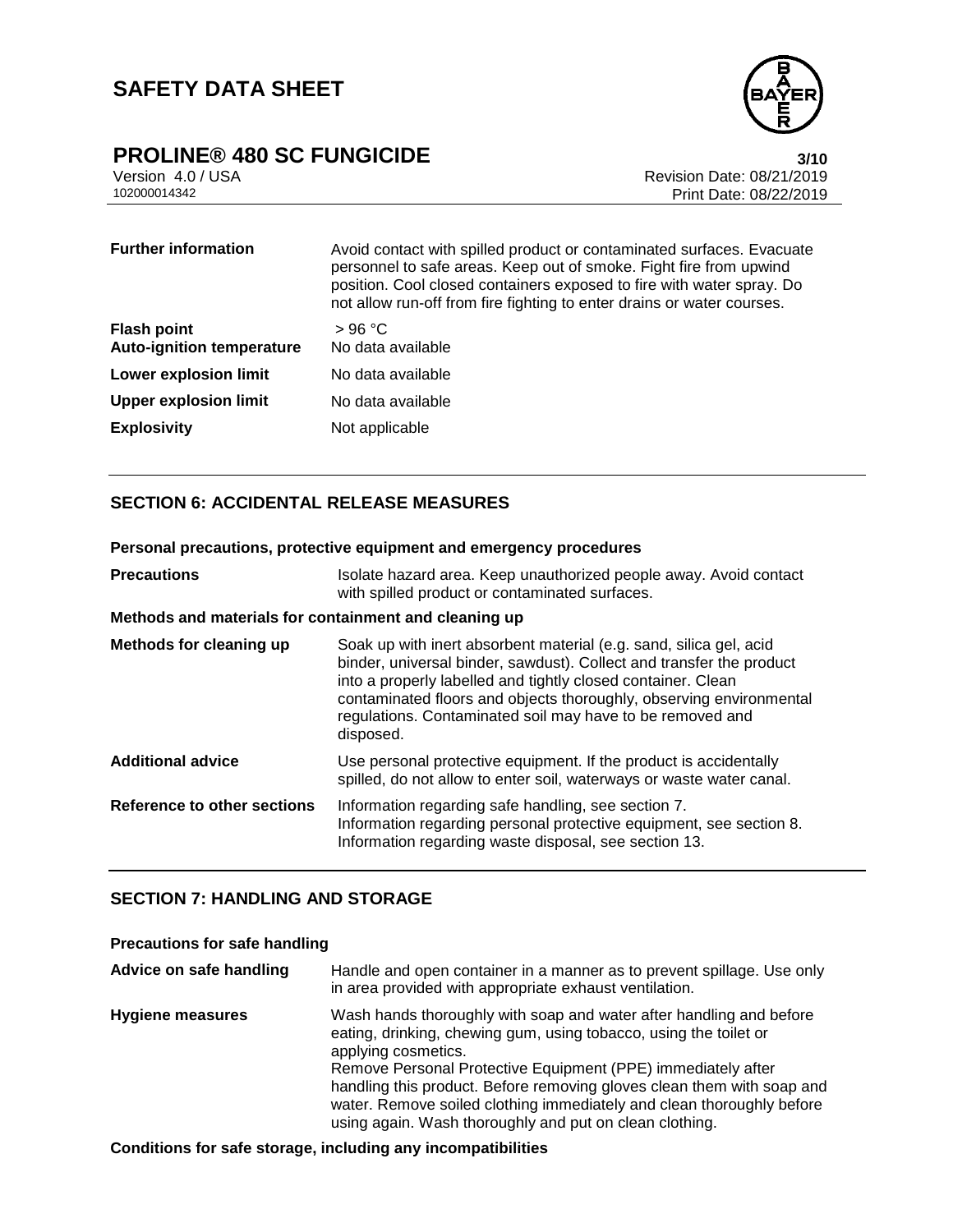

# **PROLINE® 480 SC FUNGICIDE**<br>Version 4.0 / USA **3/10**<br>Revision Date: 08/21/2019

Version 4.0 / USA Revision Date: 08/21/2019<br>102000014342 Print Date: 08/21/2019 Print Date: 08/22/2019

| <b>Further information</b>                             | Avoid contact with spilled product or contaminated surfaces. Evacuate<br>personnel to safe areas. Keep out of smoke. Fight fire from upwind<br>position. Cool closed containers exposed to fire with water spray. Do<br>not allow run-off from fire fighting to enter drains or water courses. |
|--------------------------------------------------------|------------------------------------------------------------------------------------------------------------------------------------------------------------------------------------------------------------------------------------------------------------------------------------------------|
| <b>Flash point</b><br><b>Auto-ignition temperature</b> | >96 °C<br>No data available                                                                                                                                                                                                                                                                    |
| <b>Lower explosion limit</b>                           | No data available                                                                                                                                                                                                                                                                              |
| <b>Upper explosion limit</b>                           | No data available                                                                                                                                                                                                                                                                              |
| <b>Explosivity</b>                                     | Not applicable                                                                                                                                                                                                                                                                                 |

### **SECTION 6: ACCIDENTAL RELEASE MEASURES**

| Personal precautions, protective equipment and emergency procedures |                                                                                                                                                                                                                                                                                                                                                             |  |
|---------------------------------------------------------------------|-------------------------------------------------------------------------------------------------------------------------------------------------------------------------------------------------------------------------------------------------------------------------------------------------------------------------------------------------------------|--|
| <b>Precautions</b>                                                  | Isolate hazard area. Keep unauthorized people away. Avoid contact<br>with spilled product or contaminated surfaces.                                                                                                                                                                                                                                         |  |
| Methods and materials for containment and cleaning up               |                                                                                                                                                                                                                                                                                                                                                             |  |
| Methods for cleaning up                                             | Soak up with inert absorbent material (e.g. sand, silica gel, acid<br>binder, universal binder, sawdust). Collect and transfer the product<br>into a properly labelled and tightly closed container. Clean<br>contaminated floors and objects thoroughly, observing environmental<br>regulations. Contaminated soil may have to be removed and<br>disposed. |  |
| <b>Additional advice</b>                                            | Use personal protective equipment. If the product is accidentally<br>spilled, do not allow to enter soil, waterways or waste water canal.                                                                                                                                                                                                                   |  |
| Reference to other sections                                         | Information regarding safe handling, see section 7.<br>Information regarding personal protective equipment, see section 8.<br>Information regarding waste disposal, see section 13.                                                                                                                                                                         |  |

### **SECTION 7: HANDLING AND STORAGE**

### **Precautions for safe handling**

| Advice on safe handling | Handle and open container in a manner as to prevent spillage. Use only<br>in area provided with appropriate exhaust ventilation.                                                                                                                                                                                                                                                                                                              |
|-------------------------|-----------------------------------------------------------------------------------------------------------------------------------------------------------------------------------------------------------------------------------------------------------------------------------------------------------------------------------------------------------------------------------------------------------------------------------------------|
| <b>Hygiene measures</b> | Wash hands thoroughly with soap and water after handling and before<br>eating, drinking, chewing gum, using tobacco, using the toilet or<br>applying cosmetics.<br>Remove Personal Protective Equipment (PPE) immediately after<br>handling this product. Before removing gloves clean them with soap and<br>water. Remove soiled clothing immediately and clean thoroughly before<br>using again. Wash thoroughly and put on clean clothing. |

#### **Conditions for safe storage, including any incompatibilities**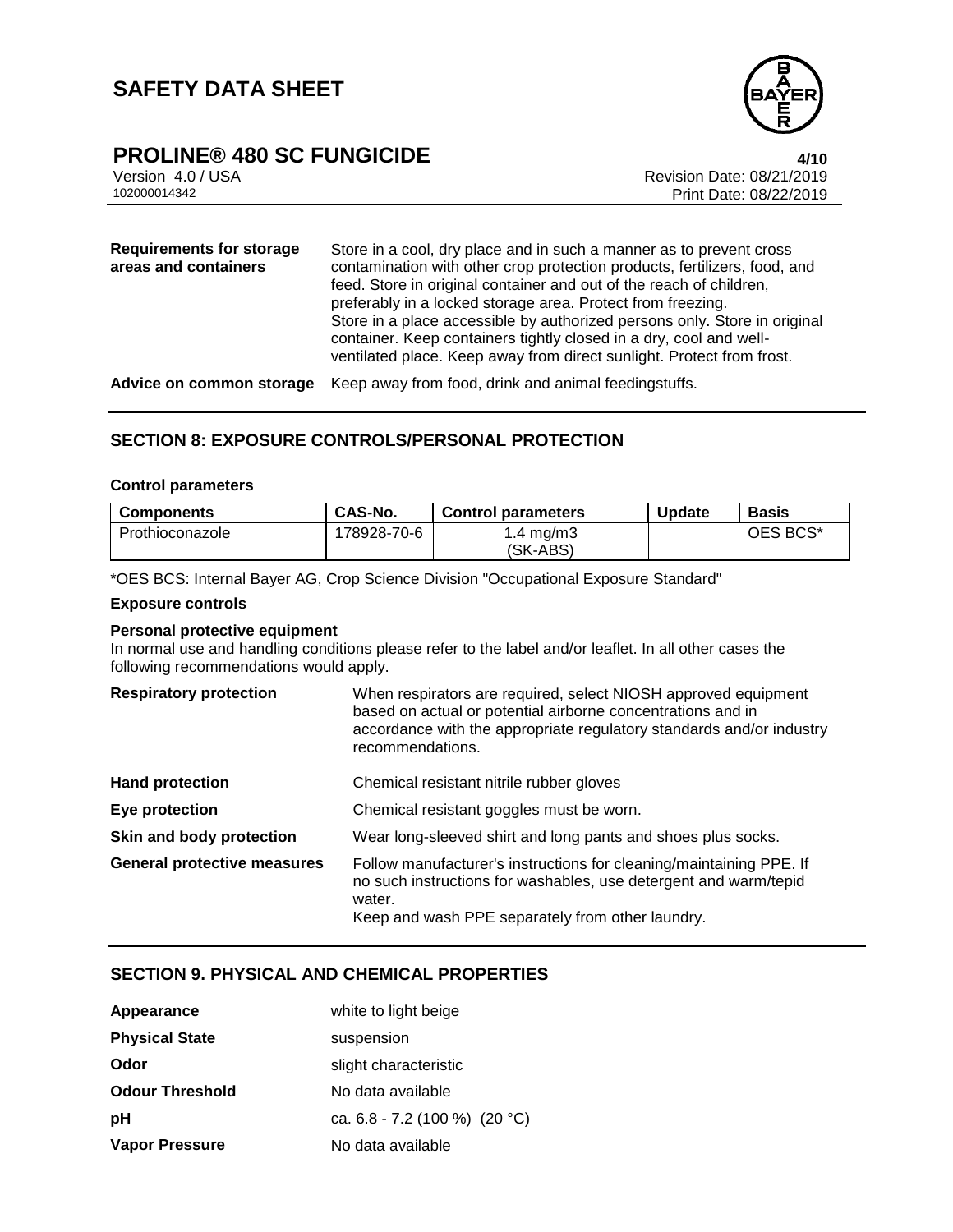

# **PROLINE® 480 SC FUNGICIDE 4/10**

Version 4.0 / USA Revision Date: 08/21/2019 Print Date: 08/22/2019

| <b>Requirements for storage</b><br>areas and containers | Store in a cool, dry place and in such a manner as to prevent cross<br>contamination with other crop protection products, fertilizers, food, and<br>feed. Store in original container and out of the reach of children,<br>preferably in a locked storage area. Protect from freezing.<br>Store in a place accessible by authorized persons only. Store in original<br>container. Keep containers tightly closed in a dry, cool and well-<br>ventilated place. Keep away from direct sunlight. Protect from frost. |
|---------------------------------------------------------|--------------------------------------------------------------------------------------------------------------------------------------------------------------------------------------------------------------------------------------------------------------------------------------------------------------------------------------------------------------------------------------------------------------------------------------------------------------------------------------------------------------------|
| Advice on common storage                                | Keep away from food, drink and animal feedingstuffs.                                                                                                                                                                                                                                                                                                                                                                                                                                                               |

### **SECTION 8: EXPOSURE CONTROLS/PERSONAL PROTECTION**

#### **Control parameters**

| <b>Components</b> | CAS-No.     | <b>Control parameters</b> | <b>Update</b> | <b>Basis</b> |
|-------------------|-------------|---------------------------|---------------|--------------|
| Prothioconazole   | 178928-70-6 | 1.4 mg/m3                 |               | OES BCS*     |
|                   |             | (SK-ABS)                  |               |              |

\*OES BCS: Internal Bayer AG, Crop Science Division "Occupational Exposure Standard"

#### **Exposure controls**

#### **Personal protective equipment**

In normal use and handling conditions please refer to the label and/or leaflet. In all other cases the following recommendations would apply.

| <b>Respiratory protection</b>      | When respirators are required, select NIOSH approved equipment<br>based on actual or potential airborne concentrations and in<br>accordance with the appropriate regulatory standards and/or industry<br>recommendations. |
|------------------------------------|---------------------------------------------------------------------------------------------------------------------------------------------------------------------------------------------------------------------------|
| <b>Hand protection</b>             | Chemical resistant nitrile rubber gloves                                                                                                                                                                                  |
| Eye protection                     | Chemical resistant goggles must be worn.                                                                                                                                                                                  |
| Skin and body protection           | Wear long-sleeved shirt and long pants and shoes plus socks.                                                                                                                                                              |
| <b>General protective measures</b> | Follow manufacturer's instructions for cleaning/maintaining PPE. If<br>no such instructions for washables, use detergent and warm/tepid                                                                                   |

water.

Keep and wash PPE separately from other laundry.

#### **SECTION 9. PHYSICAL AND CHEMICAL PROPERTIES**

| Appearance             | white to light beige            |  |
|------------------------|---------------------------------|--|
| <b>Physical State</b>  | suspension                      |  |
| Odor                   | slight characteristic           |  |
| <b>Odour Threshold</b> | No data available               |  |
| рH                     | ca. $6.8 - 7.2$ (100 %) (20 °C) |  |
| <b>Vapor Pressure</b>  | No data available               |  |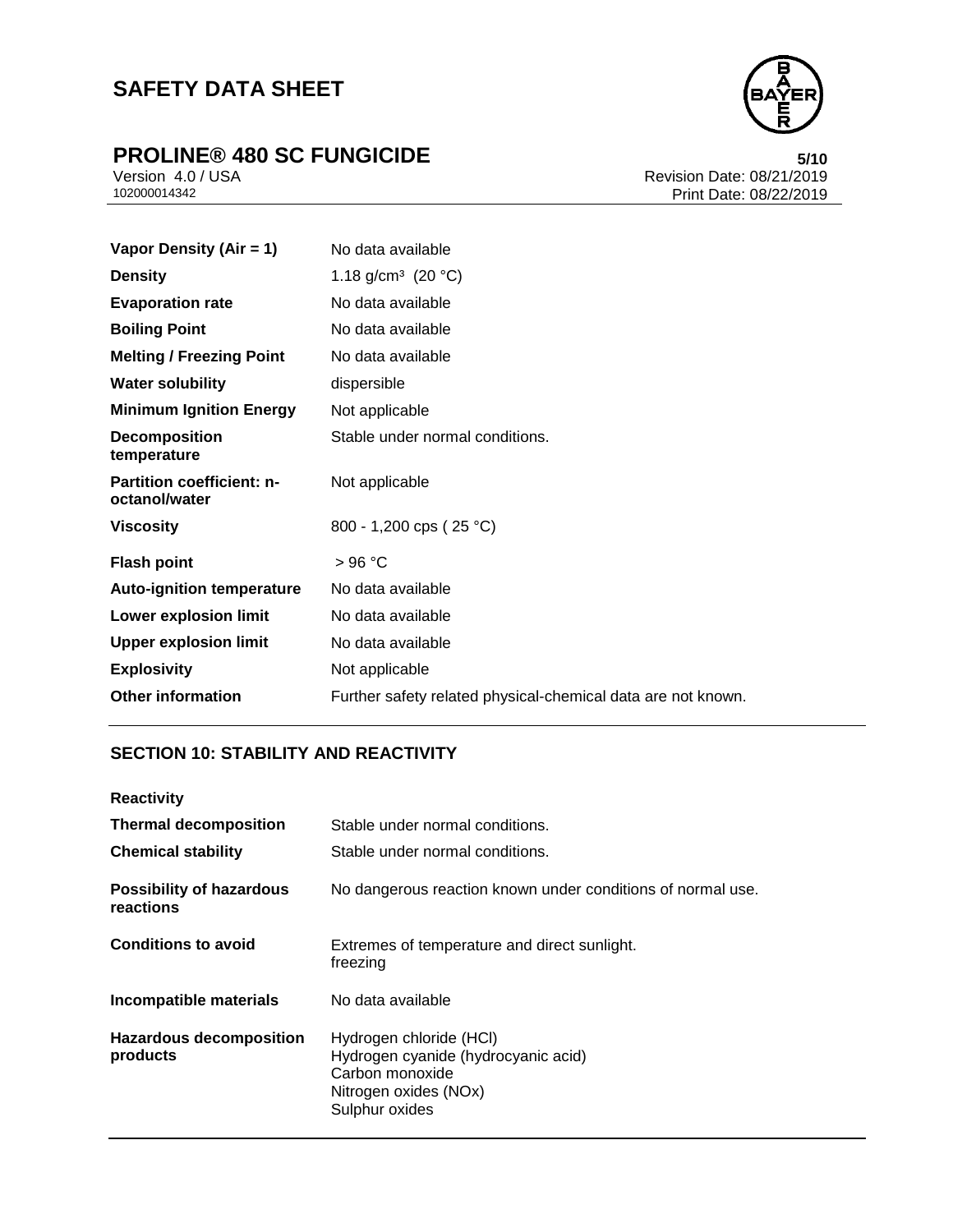# **PROLINE® 480 SC FUNGICIDE**<br>Version 4.0 / USA **100 SC FUNGICIDE**<br>Revision Date: 08/21/2019



Version 4.0 / USA Revision Date: 08/21/2019<br>102000014342 Print Date: 08/22/2019 Print Date: 08/22/2019

| Vapor Density (Air = 1)                           | No data available                                            |
|---------------------------------------------------|--------------------------------------------------------------|
| <b>Density</b>                                    | 1.18 g/cm <sup>3</sup> (20 °C)                               |
| <b>Evaporation rate</b>                           | No data available                                            |
| <b>Boiling Point</b>                              | No data available                                            |
| <b>Melting / Freezing Point</b>                   | No data available                                            |
| <b>Water solubility</b>                           | dispersible                                                  |
| <b>Minimum Ignition Energy</b>                    | Not applicable                                               |
| <b>Decomposition</b><br>temperature               | Stable under normal conditions.                              |
| <b>Partition coefficient: n-</b><br>octanol/water | Not applicable                                               |
| <b>Viscosity</b>                                  | 800 - 1,200 cps ( $25 °C$ )                                  |
| <b>Flash point</b>                                | >96 °C                                                       |
| <b>Auto-ignition temperature</b>                  | No data available                                            |
| Lower explosion limit                             | No data available                                            |
| <b>Upper explosion limit</b>                      | No data available                                            |
| <b>Explosivity</b>                                | Not applicable                                               |
| <b>Other information</b>                          | Further safety related physical-chemical data are not known. |

### **SECTION 10: STABILITY AND REACTIVITY**

| <b>Reactivity</b>                            |                                                                                                                              |
|----------------------------------------------|------------------------------------------------------------------------------------------------------------------------------|
| <b>Thermal decomposition</b>                 | Stable under normal conditions.                                                                                              |
| <b>Chemical stability</b>                    | Stable under normal conditions.                                                                                              |
| <b>Possibility of hazardous</b><br>reactions | No dangerous reaction known under conditions of normal use.                                                                  |
| <b>Conditions to avoid</b>                   | Extremes of temperature and direct sunlight.<br>freezing                                                                     |
| Incompatible materials                       | No data available                                                                                                            |
| <b>Hazardous decomposition</b><br>products   | Hydrogen chloride (HCI)<br>Hydrogen cyanide (hydrocyanic acid)<br>Carbon monoxide<br>Nitrogen oxides (NOx)<br>Sulphur oxides |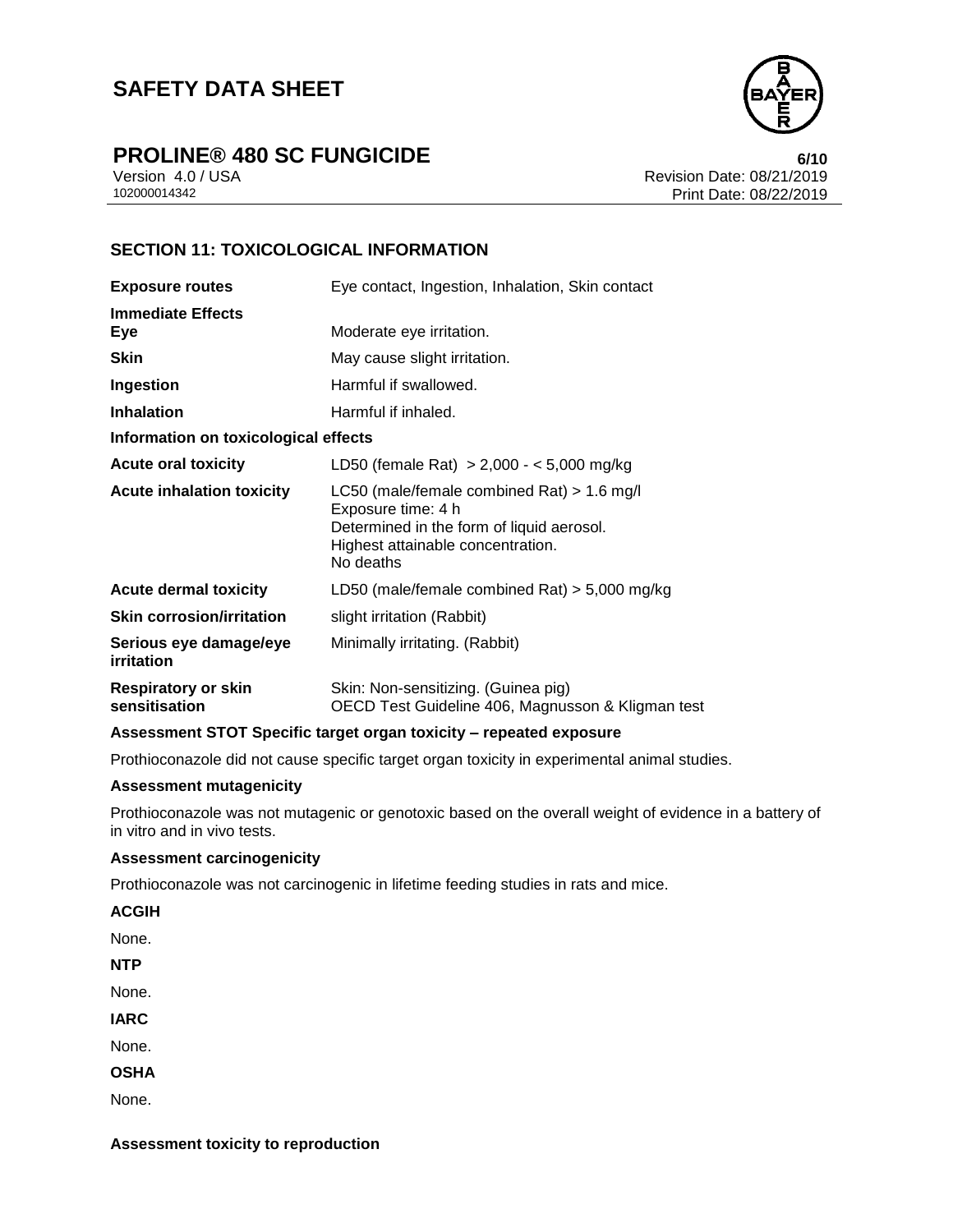

# **PROLINE® 480 SC FUNGICIDE 6/10**

Version 4.0 / USA Revision Date: 08/21/2019 Print Date: 08/22/2019

### **SECTION 11: TOXICOLOGICAL INFORMATION**

| <b>Exposure routes</b>                      | Eye contact, Ingestion, Inhalation, Skin contact                                                                                                                  |  |
|---------------------------------------------|-------------------------------------------------------------------------------------------------------------------------------------------------------------------|--|
| <b>Immediate Effects</b><br>Eye             | Moderate eye irritation.                                                                                                                                          |  |
| <b>Skin</b>                                 | May cause slight irritation.                                                                                                                                      |  |
| Ingestion                                   | Harmful if swallowed.                                                                                                                                             |  |
| <b>Inhalation</b>                           | Harmful if inhaled.                                                                                                                                               |  |
| Information on toxicological effects        |                                                                                                                                                                   |  |
| <b>Acute oral toxicity</b>                  | LD50 (female Rat) $> 2,000 - 5,000$ mg/kg                                                                                                                         |  |
| <b>Acute inhalation toxicity</b>            | LC50 (male/female combined Rat) $> 1.6$ mg/l<br>Exposure time: 4 h<br>Determined in the form of liquid aerosol.<br>Highest attainable concentration.<br>No deaths |  |
| <b>Acute dermal toxicity</b>                | LD50 (male/female combined Rat) $>$ 5,000 mg/kg                                                                                                                   |  |
| <b>Skin corrosion/irritation</b>            | slight irritation (Rabbit)                                                                                                                                        |  |
| Serious eye damage/eye<br>irritation        | Minimally irritating. (Rabbit)                                                                                                                                    |  |
| <b>Respiratory or skin</b><br>sensitisation | Skin: Non-sensitizing. (Guinea pig)<br>OECD Test Guideline 406, Magnusson & Kligman test                                                                          |  |

#### **Assessment STOT Specific target organ toxicity – repeated exposure**

Prothioconazole did not cause specific target organ toxicity in experimental animal studies.

### **Assessment mutagenicity**

Prothioconazole was not mutagenic or genotoxic based on the overall weight of evidence in a battery of in vitro and in vivo tests.

#### **Assessment carcinogenicity**

Prothioconazole was not carcinogenic in lifetime feeding studies in rats and mice.

**ACGIH**

None.

**NTP**

None.

**IARC**

None.

**OSHA**

None.

**Assessment toxicity to reproduction**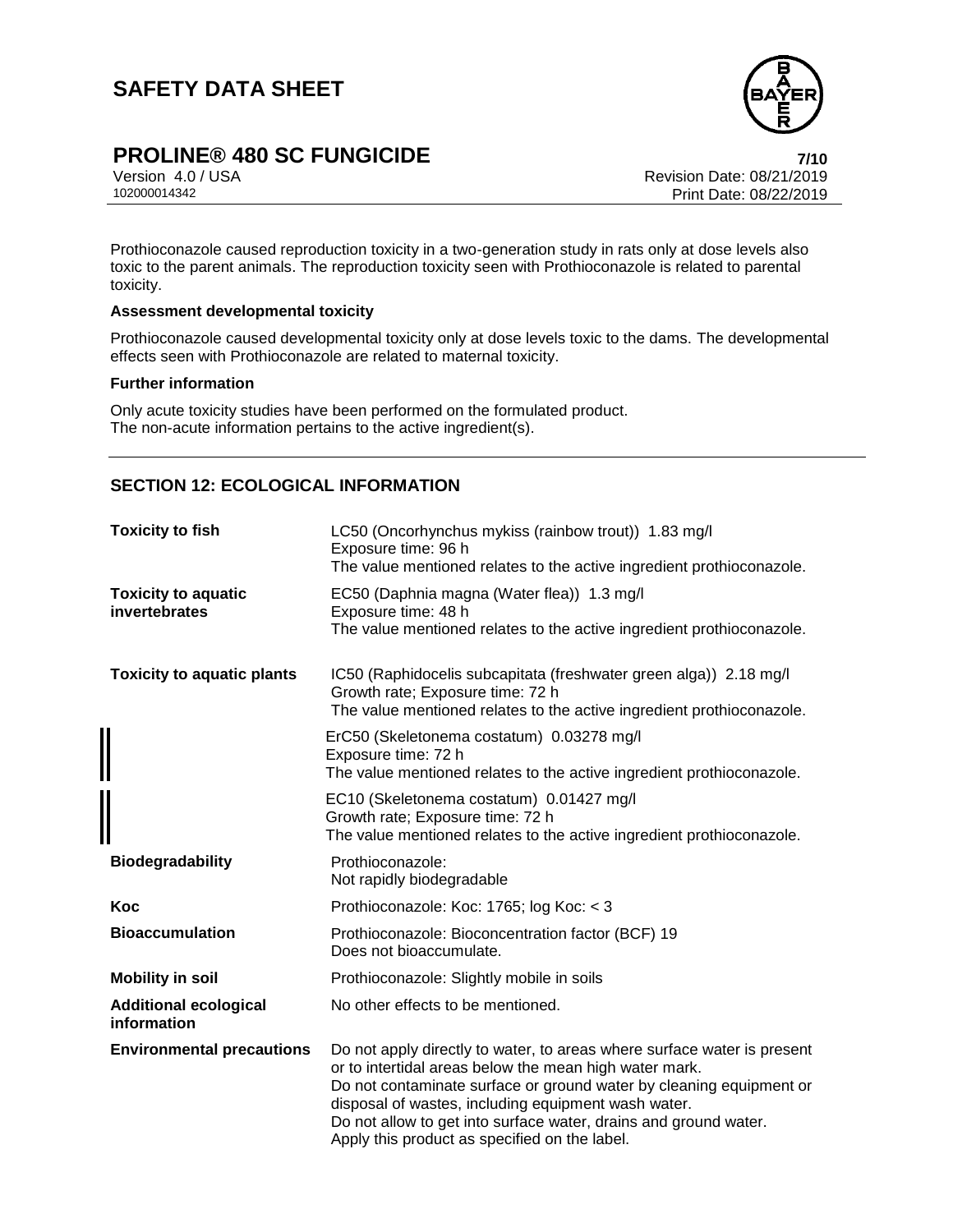

# **PROLINE® 480 SC FUNGICIDE 7/10**

Version 4.0 / USA Revision Date: 08/21/2019 Print Date: 08/22/2019

Prothioconazole caused reproduction toxicity in a two-generation study in rats only at dose levels also toxic to the parent animals. The reproduction toxicity seen with Prothioconazole is related to parental toxicity.

#### **Assessment developmental toxicity**

Prothioconazole caused developmental toxicity only at dose levels toxic to the dams. The developmental effects seen with Prothioconazole are related to maternal toxicity.

#### **Further information**

Only acute toxicity studies have been performed on the formulated product. The non-acute information pertains to the active ingredient(s).

### **SECTION 12: ECOLOGICAL INFORMATION**

| <b>Toxicity to fish</b>                     | LC50 (Oncorhynchus mykiss (rainbow trout)) 1.83 mg/l<br>Exposure time: 96 h<br>The value mentioned relates to the active ingredient prothioconazole.                                                                                                                                                                                                                                 |
|---------------------------------------------|--------------------------------------------------------------------------------------------------------------------------------------------------------------------------------------------------------------------------------------------------------------------------------------------------------------------------------------------------------------------------------------|
| <b>Toxicity to aquatic</b><br>invertebrates | EC50 (Daphnia magna (Water flea)) 1.3 mg/l<br>Exposure time: 48 h<br>The value mentioned relates to the active ingredient prothioconazole.                                                                                                                                                                                                                                           |
| <b>Toxicity to aquatic plants</b>           | IC50 (Raphidocelis subcapitata (freshwater green alga)) 2.18 mg/l<br>Growth rate; Exposure time: 72 h<br>The value mentioned relates to the active ingredient prothioconazole.                                                                                                                                                                                                       |
|                                             | ErC50 (Skeletonema costatum) 0.03278 mg/l<br>Exposure time: 72 h<br>The value mentioned relates to the active ingredient prothioconazole.                                                                                                                                                                                                                                            |
|                                             | EC10 (Skeletonema costatum) 0.01427 mg/l<br>Growth rate; Exposure time: 72 h<br>The value mentioned relates to the active ingredient prothioconazole.                                                                                                                                                                                                                                |
| <b>Biodegradability</b>                     | Prothioconazole:<br>Not rapidly biodegradable                                                                                                                                                                                                                                                                                                                                        |
| Koc                                         | Prothioconazole: Koc: 1765; log Koc: < 3                                                                                                                                                                                                                                                                                                                                             |
| <b>Bioaccumulation</b>                      | Prothioconazole: Bioconcentration factor (BCF) 19<br>Does not bioaccumulate.                                                                                                                                                                                                                                                                                                         |
| <b>Mobility in soil</b>                     | Prothioconazole: Slightly mobile in soils                                                                                                                                                                                                                                                                                                                                            |
| <b>Additional ecological</b><br>information | No other effects to be mentioned.                                                                                                                                                                                                                                                                                                                                                    |
| <b>Environmental precautions</b>            | Do not apply directly to water, to areas where surface water is present<br>or to intertidal areas below the mean high water mark.<br>Do not contaminate surface or ground water by cleaning equipment or<br>disposal of wastes, including equipment wash water.<br>Do not allow to get into surface water, drains and ground water.<br>Apply this product as specified on the label. |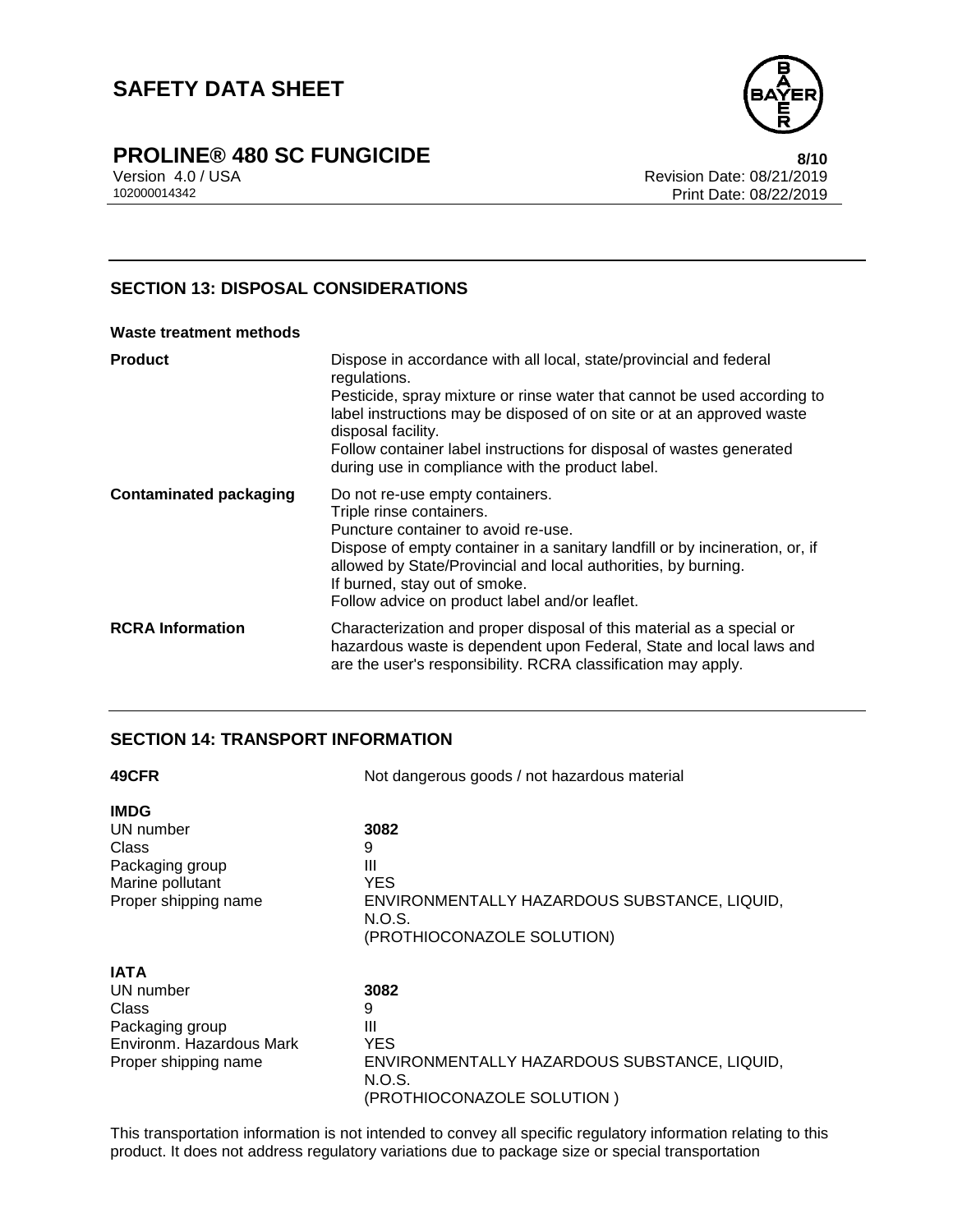

## **PROLINE® 480 SC FUNGICIDE 8/10**

Version 4.0 / USA Revision Date: 08/21/2019 Print Date: 08/22/2019

### **SECTION 13: DISPOSAL CONSIDERATIONS**

### **Waste treatment methods Product** Dispose in accordance with all local, state/provincial and federal regulations. Pesticide, spray mixture or rinse water that cannot be used according to label instructions may be disposed of on site or at an approved waste disposal facility. Follow container label instructions for disposal of wastes generated during use in compliance with the product label. **Contaminated packaging** Do not re-use empty containers. Triple rinse containers. Puncture container to avoid re-use. Dispose of empty container in a sanitary landfill or by incineration, or, if allowed by State/Provincial and local authorities, by burning. If burned, stay out of smoke. Follow advice on product label and/or leaflet. **RCRA Information** Characterization and proper disposal of this material as a special or hazardous waste is dependent upon Federal, State and local laws and are the user's responsibility. RCRA classification may apply.

### **SECTION 14: TRANSPORT INFORMATION**

| 49CFR                    | Not dangerous goods / not hazardous material           |  |
|--------------------------|--------------------------------------------------------|--|
| <b>IMDG</b>              |                                                        |  |
| UN number                | 3082                                                   |  |
| Class                    | 9                                                      |  |
| Packaging group          | Ш                                                      |  |
| Marine pollutant         | YES                                                    |  |
| Proper shipping name     | ENVIRONMENTALLY HAZARDOUS SUBSTANCE, LIQUID,           |  |
|                          | N.O.S.                                                 |  |
|                          | (PROTHIOCONAZOLE SOLUTION)                             |  |
| <b>IATA</b>              |                                                        |  |
| UN number                | 3082                                                   |  |
| Class                    | 9                                                      |  |
| Packaging group          | Ш                                                      |  |
| Environm. Hazardous Mark | <b>YES</b>                                             |  |
| Proper shipping name     | ENVIRONMENTALLY HAZARDOUS SUBSTANCE, LIQUID,<br>N.O.S. |  |
|                          | (PROTHIOCONAZOLE SOLUTION)                             |  |

This transportation information is not intended to convey all specific regulatory information relating to this product. It does not address regulatory variations due to package size or special transportation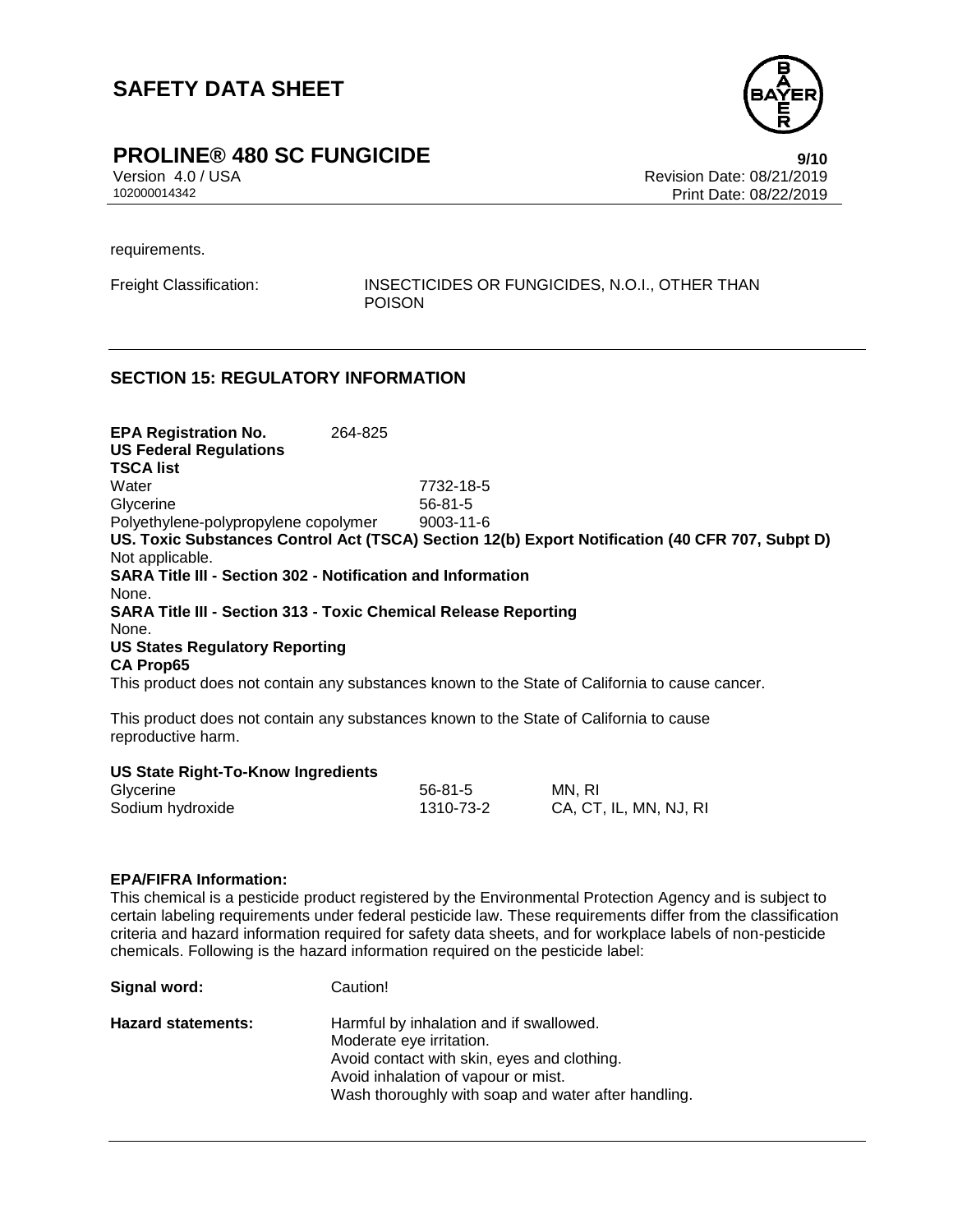

# **PROLINE® 480 SC FUNGICIDE**<br>Version 4.0/USA **19/10**<br>Revision Date: 08/21/2019

Version 4.0 / USA Revision Date: 08/21/2019 Print Date: 08/22/2019

requirements.

Freight Classification: INSECTICIDES OR FUNGICIDES, N.O.I., OTHER THAN POISON

### **SECTION 15: REGULATORY INFORMATION**

**EPA Registration No.** 264-825 **US Federal Regulations TSCA list** Water 7732-18-5 Glycerine 56-81-5 Polyethylene-polypropylene copolymer 9003-11-6 **US. Toxic Substances Control Act (TSCA) Section 12(b) Export Notification (40 CFR 707, Subpt D)** Not applicable. **SARA Title III - Section 302 - Notification and Information** None. **SARA Title III - Section 313 - Toxic Chemical Release Reporting** None. **US States Regulatory Reporting CA Prop65** This product does not contain any substances known to the State of California to cause cancer.

This product does not contain any substances known to the State of California to cause reproductive harm.

#### **US State Right-To-Know Ingredients**

**Signal word:** Caution!

| Glycerine        | 56-81-5   | MN, RI                 |
|------------------|-----------|------------------------|
| Sodium hydroxide | 1310-73-2 | CA, CT, IL, MN, NJ, RI |

#### **EPA/FIFRA Information:**

This chemical is a pesticide product registered by the Environmental Protection Agency and is subject to certain labeling requirements under federal pesticide law. These requirements differ from the classification criteria and hazard information required for safety data sheets, and for workplace labels of non-pesticide chemicals. Following is the hazard information required on the pesticide label:

| <b>Hazard statements:</b> | Harmful by inhalation and if swallowed.             |
|---------------------------|-----------------------------------------------------|
|                           | Moderate eye irritation.                            |
|                           | Avoid contact with skin, eyes and clothing.         |
|                           | Avoid inhalation of vapour or mist.                 |
|                           | Wash thoroughly with soap and water after handling. |